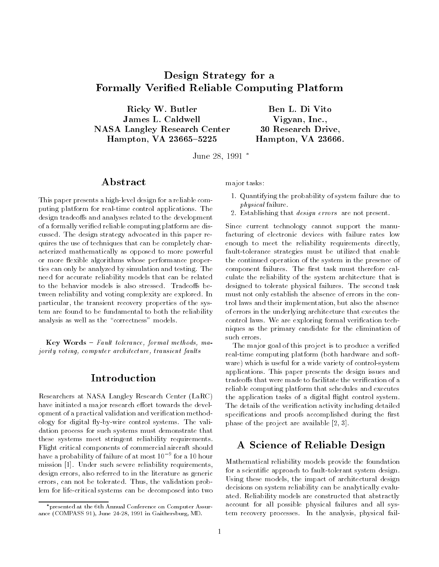# Design Strategy for a Formally Veried Reliable Computing Platform

Ricky W. Butler James L. Caldwell NASA Langley Research Center Hampton, VA 23665-5225

Vigyan, Inc., 30 Research Drive, Hampton, VA 23666.

June 28, 1991

### Abstract

This paper presents a high-level design for a reliable computing platform for real-time control applications. The design tradeoffs and analyses related to the development of a formally veried reliable computing platform are discussed. The design strategy advocated in this paper requires the use of techniques that can be completely characterized mathematically as opposed to more powerful or more flexible algorithms whose performance properties can only be analyzed by simulation and testing. The need for accurate reliability models that can be related to the behavior models is also stressed. Tradeoffs between reliability and voting complexity are explored. In particular, the transient recovery properties of the system are found to be fundamental to both the reliability analysis as well as the "correctness" models.

 $Key Words - Fault tolerance, formal methods, ma$ jority voting, computer architecture, transient faults

### Introduction

Researchers at NASA Langley Research Center (LaRC) have initiated a major research effort towards the development of a practical validation and verification methodology for digital fly-by-wire control systems. The validation process for such systems must demonstrate that these systems meet stringent reliability requirements. Flight critical components of commercial aircraft should have a probability of failure of at most 109 for a 10 hour mission [1]. Under such severe reliability requirements, design errors, also referred to in the literature as generic errors, can not be tolerated. Thus, the validation problem for life-critical systems can be decomposed into two

major tasks:

- 1. Quantifying the probability of system failure due to physical failure.
- 2. Establishing that design errors are not present.

Since current technology cannot support the manufacturing of electronic devices with failure rates low enough to meet the reliability requirements directly, fault-tolerance strategies must be utilized that enable the continued operation of the system in the presence of component failures. The first task must therefore calculate the reliability of the system architecture that is designed to tolerate physical failures. The second task must not only establish the absence of errors in the control laws and their implementation, but also the absence of errors in the underlying architecture that executes the control laws. We are exploring formal verification techniques as the primary candidate for the elimination of such errors.

The major goal of this project is to produce a verified real-time computing platform (both hardware and soft ware) which is useful for a wide variety of control-system applications. This paper presents the design issues and tradeoffs that were made to facilitate the verification of a reliable computing platform that schedules and executes the application tasks of a digital flight control system. The details of the verication activity including detailed specifications and proofs accomplished during the first phase of the project are available [2, 3].

# A Science of Reliable Design

Mathematical reliability models provide the foundation for a scientic approach to fault-tolerant system design. Using these models, the impact of architectural design decisions on system reliability can be analytically evaluated. Reliability models are constructed that abstractly account for all possible physical failures and all system recovery processes. In the analysis, physical fail-

presented at the 6th Annual Conference on Computer Assurance (COMPASS 91), June 24-28, 1991 in Gaithersburg, MD.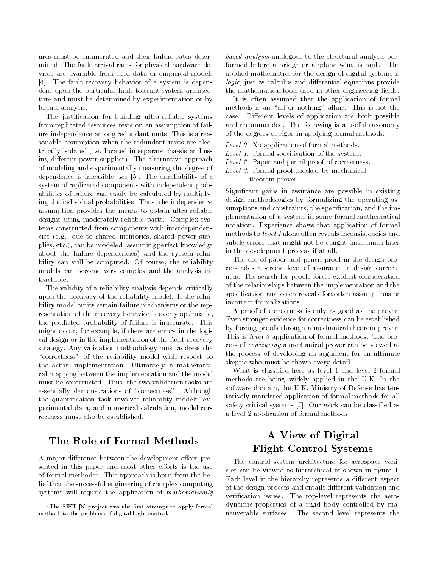ures must be enumerated and their failure rates determined. The fault arrival rates for physical hardware devices are available from field data or empirical models [4]. The fault recovery behavior of a system is dependent upon the particular fault-tolerant system architecture and must be determined by experimentation or by formal analysis.

The justication for building ultra-reliable systems from replicated resources rests on an assumption of failure independence among redundant units. This is a reasonable assumption when the redundant units are electrically isolated (i.e. located in separate chassis and using different power supplies). The alternative approach of modeling and experimentally measuring the degree of dependence is infeasible, see [5]. The unreliability of a system of replicated components with independent probabilities of failure can easily be calculated by multiplying the individual probabilities. Thus, the independence assumption provides the means to obtain ultra-reliable designs using moderately reliable parts. Complex systems constructed from components with interdependencies (e.g. due to shared memories, shared power supplies, etc.), can be modeled (assuming perfect knowledge about the failure dependencies) and the system reliability can still be computed. Of course, the reliability models can become very complex and the analysis intractable.

The validity of a reliability analysis depends critically upon the accuracy of the reliability model. If the reliability model omits certain failure mechanisms or the representation of the recovery behavior is overly optimistic, the predicted probability of failure is inaccurate. This might occur, for example, if there are errors in the logical design or in the implementation of the fault-recovery strategy. Any validation methodology must address the "correctness" of the reliability model with respect to the actual implementation. Ultimately, a mathematical mapping between the implementation and the model must be constructed. Thus, the two validation tasks are essentially demonstrations of "correctness". Although the quantication task involves reliability models, experimental data, and numerical calculation, model correctness must also be established.

# The Role of Formal Methods

A major difference between the development effort presented in this paper and most other efforts is the use of formal methods<sup>-</sup>. This approach is born from the belief that the successful engineering of complex computing systems will require the application of mathematically

based analysis analogous to the structural analysis performed before a bridge or airplane wing is built. The applied mathematics for the design of digital systems is logic, just as calculus and differential equations provide the mathematical tools used in other engineering fields.

It is often assumed that the application of formal methods is an "all or nothing" affair. This is not the case. Different levels of application are both possible and recommended. The following is a useful taxonomy of the degrees of rigor in applying formal methods:

- Level  $\theta$ : No application of formal methods.
- Level 1: Formal specification of the system.
- Level 2: Paper and pencil proof of correctness.
- Level 3: Formal proof checked by mechanical theorem prover.

Signicant gains in assurance are possible in existing design methodologies by formalizing the operating assumptions and constraints, the specification, and the implementation of a system in some formal mathematical notation. Experience shows that application of formal methods to level 1 alone often reveals inconsistencies and subtle errors that might not be caught until much later in the development process if at all.

The use of paper and pencil proof in the design process adds a second level of assurance in design correctness. The search for proofs forces explicit consideration of the relationships between the implementation and the specification and often reveals forgotten assumptions or incorrect formalizations.

A proof of correctness is only as good as the prover. Even stronger evidence for correctness can be established by forcing proofs through a mechanical theorem prover. This is level 3 application of formal methods. The process of convincing a mechanical prover can be viewed as the process of developing an argument for an ultimate skeptic who must be shown every detail.

What is classied here as level 1 and level 2 formal methods are being widely applied in the U.K. In the software domain, the U.K. Ministry of Defense has tentatively mandated application of formal methods for all safety critical systems [7]. Our work can be classied as a level 2 application of formal methods.

# A View of Digital Flight Control Systems

The control system architecture for aerospace vehicles can be viewed as hierarchical as shown in figure 1. Each level in the hierarchy represents a different aspect of the design process and entails different validation and verification issues. The top-level represents the aerodynamic properties of a rigid body controlled by maneuverable surfaces. The second level represents the

 $1$  The SIFT  $[6]$  project was the first attempt to apply formal methods to the problems of digital flight control.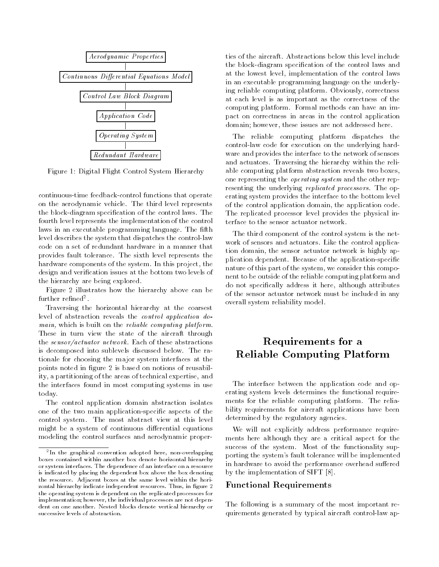

Figure 1: Digital Flight Control System Hierarchy

continuous-time feedback-control functions that operate on the aerodynamic vehicle. The third level represents the block-diagram specification of the control laws. The fourth level represents the implementation of the control laws in an executable programming language. The fifth level describes the system that dispatches the control-law code on a set of redundant hardware in a manner that provides fault tolerance. The sixth level represents the hardware components of the system. In this project, the design and verication issues at the bottom two levels of the hierarchy are being explored.

Figure 2 illustrates how the hierarchy above can be rurtner renned=.

Traversing the horizontal hierarchy at the coarsest level of abstraction reveals the control application domain, which is built on the reliable computing platform. These in turn view the state of the aircraft through the sensor/actuator network. Each of these abstractions is decomposed into sublevels discussed below. The rationale for choosing the major system interfaces at the points noted in figure 2 is based on notions of reusability, a partitioning of the areas of technical expertise, and the interfaces found in most computing systems in use today.

The control application domain abstraction isolates one of the two main application-specic aspects of the control system. The most abstract view at this level might be a system of continuous differential equations modeling the control surfaces and aerodynamic properties of the aircraft. Abstractions below this level include the block-diagram specification of the control laws and at the lowest level, implementation of the control laws in an executable programming language on the underlying reliable computing platform. Obviously, correctness at each level is as important as the correctness of the computing platform. Formal methods can have an impact on correctness in areas in the control application domain; however, these issues are not addressed here.

The reliable computing platform dispatches the control-law code for execution on the underlying hard ware and provides the interface to the network of sensors and actuators. Traversing the hierarchy within the reliable computing platform abstraction reveals two boxes, one representing the operating system and the other representing the underlying replicated processors. The operating system provides the interface to the bottom level of the control application domain, the application code. The replicated processor level provides the physical interface to the sensor actuator network.

The third component of the control system is the net work of sensors and actuators. Like the control application domain, the sensor actuator network is highly application dependent. Because of the application-specic nature of this part of the system, we consider this component to be outside of the reliable computing platform and do not specically address it here, although attributes of the sensor actuator network must be included in any overall system reliability model.

# Requirements for a Reliable Computing Platform

The interface between the application code and operating system levels determines the functional require ments for the reliable computing platform. The reliability requirements for aircraft applications have been determined by the regulatory agencies.

We will not explicitly address performance require ments here although they are a critical aspect for the success of the system. Most of the functionality supporting the system's fault tolerance will be implemented in hardware to avoid the performance overhead suffered by the implementation of SIFT [8].

#### Functional Requirements

The following is a summary of the most important requirements generated by typical aircraft control-law ap-

<sup>2</sup> In the graphical convention adopted here, non-overlapping boxes contained within another box denote horizontal hierarchy or system interfaces. The dependence of an interface on a resource is indicated by placing the dependent box above the box denoting the resource. Adjacent boxes at the same level within the horizontal hierarchy indicate independent resources. Thus, in figure 2 the operating system is dependent on the replicated processors for implementation; however, the individual processors are not dependent on one another. Nested blocks denote vertical hierarchy or successive levels of abstraction.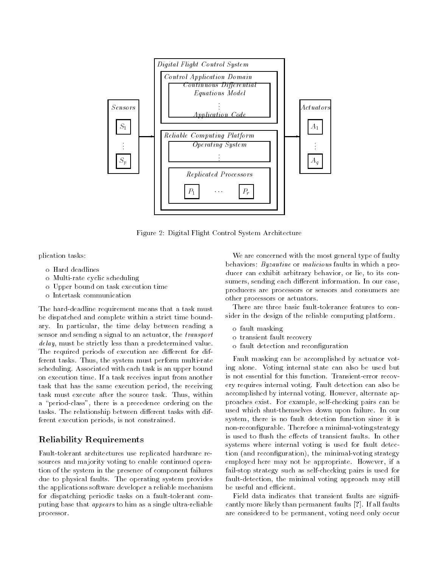

Figure 2: Digital Flight Control System Architecture

plication tasks:

- o Hard deadlines
- o Multi-rate cyclic scheduling
- o Upper bound on task execution time
- o Intertask communication

The hard-deadline requirement means that a task must be dispatched and complete within a strict time boundary. In particular, the time delay between reading a sensor and sending a signal to an actuator, the transport delay, must be strictly less than a predetermined value. The required periods of execution are different for different tasks. Thus, the system must perform multi-rate scheduling. Associated with each task is an upper bound on execution time. If a task receives input from another task that has the same execution period, the receiving task must execute after the source task. Thus, within a "period-class", there is a precedence ordering on the tasks. The relationship between different tasks with different execution periods, is not constrained.

### Reliability Requirements

Fault-tolerant architectures use replicated hardware resources and majority voting to enable continued operation of the system in the presence of component failures due to physical faults. The operating system provides the applications software developer a reliable mechanism for dispatching periodic tasks on a fault-tolerant computing base that appears to him as a single ultra-reliable processor.

We are concerned with the most general type of faulty behaviors: Byzantine or malicious faults in which a producer can exhibit arbitrary behavior, or lie, to its consumers, sending each different information. In our case, producers are processors or sensors and consumers are other processors or actuators.

There are three basic fault-tolerance features to consider in the design of the reliable computing platform.

- o fault masking
- o transient fault recovery
- o fault detection and reconguration

Fault masking can be accomplished by actuator voting alone. Voting internal state can also be used but is not essential for this function. Transient-error recovery requires internal voting. Fault detection can also be accomplished by internal voting. However, alternate approaches exist. For example, self-checking pairs can be used which shut-themselves down upon failure. In our system, there is no fault detection function since it is non-recongurable. Therefore a minimal-voting strategy is used to flush the effects of transient faults. In other systems where internal voting is used for fault detection (and reconfiguration), the minimal-voting strategy employed here may not be appropriate. However, if a fail-stop strategy such as self-checking pairs is used for fault-detection, the minimal voting approach may still be useful and efficient.

Field data indicates that transient faults are significantly more likely than permanent faults [?]. If all faults are considered to be permanent, voting need only occur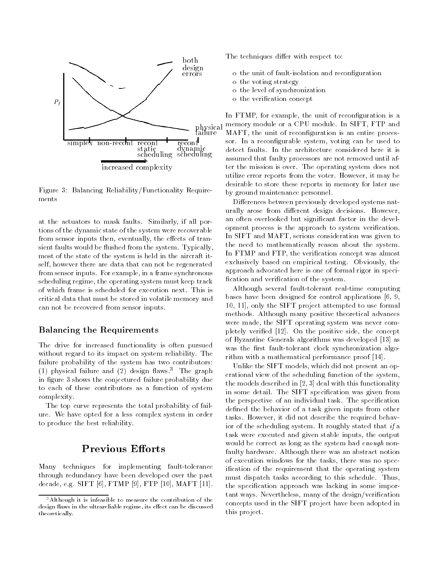

Figure 3: Balancing Reliability/Functionality Require ments

at the actuators to mask faults. Similarly, if all portions of the dynamic state of the system were recoverable from sensor inputs then, eventually, the effects of transient faults would be flushed from the system. Typically, most of the state of the system is held in the aircraft itself, however there are data that can not be regenerated from sensor inputs. For example, in a frame synchronous scheduling regime, the operating system must keep track of which frame is scheduled for execution next. This is critical data that must be stored in volatile memory and can not be recovered from sensor inputs.

#### Balancing the Requirements

The drive for increased functionality is often pursued without regard to its impact on system reliability. The failure probability of the system has two contributors: (1) physical failure and (2) design flaws.<sup>3</sup> The graph in figure 3 shows the conjectured failure probability due to each of these contributors as a function of system complexity.

The top curve represents the total probability of failure. We have opted for a less complex system in order to produce the best reliability.

# Previous Efforts

Many techniques for implementing fault-tolerance through redundancy have been developed over the past decade, e.g. SIFT [6], FTMP [9], FTP [10], MAFT [11]. The techniques differ with respect to:

- o the unit of fault-isolation and reconguration
- o the voting strategy
- o the level of synchronization
- o the verication concept

 assumed that faulty processors are not removed until af-In FTMP, for example, the unit of reconfiguration is a memory module or a CPU module. In SIFT, FTP and MAFT, the unit of reconfiguration is an entire processor. In a reconfigurable system, voting can be used to detect faults. In the architecture considered here it is ter the mission is over. The operating system does not utilize error reports from the voter. However, it may be desirable to store these reports in memory for later use by ground maintenance personnel.

Differences between previously developed systems naturally arose from different design decisions. However, an often overlooked but signicant factor in the development process is the approach to system verification. In SIFT and MAFT, serious consideration was given to the need to mathematically reason about the system. In FTMP and FTP, the verification concept was almost exclusively based on empirical testing. Obviously, the approach advocated here is one of formal rigor in speci fication and verification of the system.

Although several fault-tolerant real-time computing bases have been designed for control applications [6, 9, 10, 11], only the SIFT project attempted to use formal methods. Although many positive theoretical advances were made, the SIFT operating system was never completely veried [12]. On the positive side, the concept of Byzantine Generals algorithms was developed [13] as was the first fault-tolerant clock synchronization algorithm with a mathematical performance proof [14].

Unlike the SIFT models, which did not present an operational view of the scheduling function of the system, the models described in [2, 3] deal with this functionality in some detail. The SIFT specification was given from the perspective of an individual task. The specification defined the behavior of a task given inputs from other tasks. However, it did not describe the required behavior of the scheduling system. It roughly stated that if a task were executed and given stable inputs, the output would be correct as long as the system had *enough* nonfaulty hardware. Although there was an abstract notion of execution windows for the tasks, there was no specification of the requirement that the operating system must dispatch tasks according to this schedule. Thus, the specification approach was lacking in some important ways. Nevertheless, many of the design/verification concepts used in the SIFT project have been adopted in this project.

<sup>3</sup>Although it is infeasible to measure the contribution of the design flaws in the ultrareliable regime, its effect can be discussed theoretically.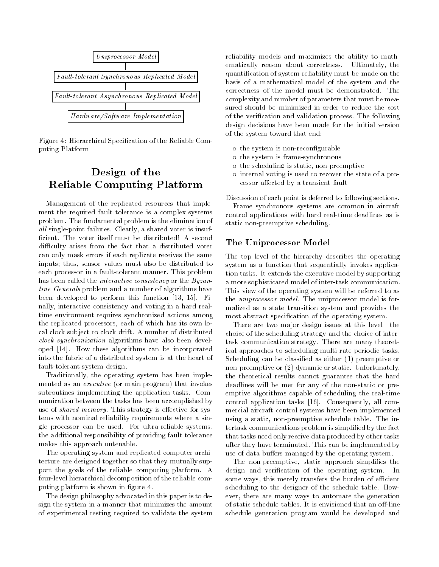

Figure 4: Hierarchical Specication of the Reliable Computing Platform

# Design of the Reliable Computing Platform

Management of the replicated resources that imple ment the required fault tolerance is a complex systems problem. The fundamental problem is the elimination of  $all$  single-point failures. Clearly, a shared voter is insufficient. The voter itself must be distributed! A second difficulty arises from the fact that a distributed voter can only mask errors if each replicate receives the same inputs; thus, sensor values must also be distributed to each processor in a fault-tolerant manner. This problem has been called the *interactive consistency* or the *Byzan*tine Generals problem and a number of algorithms have been developed to perform this function [13, 15]. Finally, interactive consistency and voting in a hard realtime environment requires synchronized actions among the replicated processors, each of which has its own local clock subject to clock drift. A number of distributed clock synchronization algorithms have also been developed [14]. How these algorithms can be incorporated into the fabric of a distributed system is at the heart of fault-tolerant system design.

Traditionally, the operating system has been imple mented as an executive (or main program) that invokes subroutines implementing the application tasks. Com munication between the tasks has been accomplished by use of shared memory. This strategy is effective for systems with nominal reliability requirements where a single processor can be used. For ultra-reliable systems, the additional responsibility of providing fault tolerance makes this approach untenable.

The operating system and replicated computer architecture are designed together so that they mutually support the goals of the reliable computing platform. A four-level hierarchical decomposition of the reliable computing platform is shown in figure 4.

The design philosophy advocated in this paper is to design the system in a manner that minimizes the amount of experimental testing required to validate the system reliability models and maximizes the ability to mathematically reason about correctness. Ultimately, the quantication of system reliability must be made on the basis of a mathematical model of the system and the correctness of the model must be demonstrated. The complexity and number of parameters that must be measured should be minimized in order to reduce the cost of the verication and validation process. The following design decisions have been made for the initial version of the system toward that end:

- o the system is non-recongurable
- o the system is frame-synchronous
- o the scheduling is static, non-preemptive
- o internal voting is used to recover the state of a processor affected by a transient fault

Discussion of each point is deferred to following sections.

Frame synchronous systems are common in aircraft control applications with hard real-time deadlines as is static non-preemptive scheduling.

### The Uniprocessor Model

The top level of the hierarchy describes the operating system as a function that sequentially invokes application tasks. It extends the executive model by supporting a more sophisticated model of inter-task communication. This view of the operating system will be referred to as the uniprocessor model. The uniprocessor model is formalized as a state transition system and provides the most abstract specification of the operating system.

There are two major design issues at this level—the choice of the scheduling strategy and the choice of intertask communication strategy. There are many theoretical approaches to scheduling multi-rate periodic tasks. Scheduling can be classied as either (1) preemptive or non-preemptive or (2) dynamic or static. Unfortunately, the theoretical results cannot guarantee that the hard deadlines will be met for any of the non-static or preemptive algorithms capable of scheduling the real-time control application tasks [16]. Consequently, all commercial aircraft control systems have been implemented using a static, non-preemptive schedule table. The intertask communications problem is simplied by the fact that tasks need only receive data produced by other tasks after they have terminated. This can be implemented by use of data buffers managed by the operating system.

The non-preemptive, static approach simplifies the design and verication of the operating system. In some ways, this merely transfers the burden of efficient scheduling to the designer of the schedule table. However, there are many ways to automate the generation of static schedule tables. It is envisioned that an off-line schedule generation program would be developed and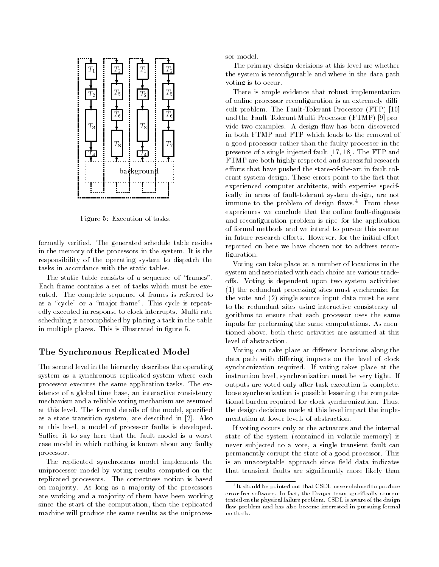

Figure 5: Execution of tasks.

formally veried. The generated schedule table resides in the memory of the processors in the system. It is the responsibility of the operating system to dispatch the tasks in accordance with the static tables.

The static table consists of a sequence of "frames". Each frame contains a set of tasks which must be executed. The complete sequence of frames is referred to as a "cycle" or a "major frame". This cycle is repeatedly executed in response to clock interrupts. Multi-rate scheduling is accomplished by placing a task in the table in multiple places. This is illustrated in figure 5.

#### The Synchronous Replicated Model

The second level in the hierarchy describes the operating system as a synchronous replicated system where each processor executes the same application tasks. The existence of a global time base, an interactive consistency mechanism and a reliable voting mechanism are assumed at this level. The formal details of the model, specied as a state transition system, are described in [2]. Also at this level, a model of processor faults is developed. Suffice it to say here that the fault model is a worst case model in which nothing is known about any faulty processor.

The replicated synchronous model implements the uniprocessor model by voting results computed on the replicated processors. The correctness notion is based on majority. As long as a majority of the processors are working and a majority of them have been working since the start of the computation, then the replicated machine will produce the same results as the uniprocessor model.

The primary design decisions at this level are whether the system is reconfigurable and where in the data path voting is to occur.

There is ample evidence that robust implementation of online processor reconfiguration is an extremely difficult problem. The Fault-Tolerant Processor (FTP) [10] and the Fault-Tolerant Multi-Processor (FTMP) [9] provide two examples. A design flaw has been discovered in both FTMP and FTP which leads to the removal of a good processor rather than the faulty processor in the presence of a single injected fault [17, 18]. The FTP and FTMP are both highly respected and successful research efforts that have pushed the state-of-the-art in fault tolerant system design. These errors point to the fact that experienced computer architects, with expertise specifically in areas of fault-tolerant system design, are not immune to the problem of design flaws.<sup>4</sup> From these experiences we conclude that the online fault-diagnosis and reconguration problem is ripe for the application of formal methods and we intend to pursue this avenue in future research efforts. However, for the initial effort reported on here we have chosen not to address recon figuration.

Voting can take place at a number of locations in the system and associated with each choice are various tradeoffs. Voting is dependent upon two system activities: (1) the redundant processing sites must synchronize for the vote and (2) single source input data must be sent to the redundant sites using interactive consistency algorithms to ensure that each processor uses the same inputs for performing the same computations. As mentioned above, both these activities are assumed at this level of abstraction.

Voting can take place at different locations along the data path with differing impacts on the level of clock synchronization required. If voting takes place at the instruction level, synchronization must be very tight. If outputs are voted only after task execution is complete, loose synchronization is possible lessening the computational burden required for clock synchronization. Thus, the design decisions made at this level impact the imple mentation at lower levels of abstraction.

If voting occurs only at the actuators and the internal state of the system (contained in volatile memory) is never subjected to a vote, a single transient fault can permanently corrupt the state of a good processor. This is an unacceptable approach since field data indicates that transient faults are signicantly more likely than

<sup>4</sup> It should be pointed out that CSDL never claimed to produce error-free software. In fact, the Draper team specifically concentrated on the physical failure problem. CSDL is aware of the design flaw problem and has also become interested in pursuing formal methods.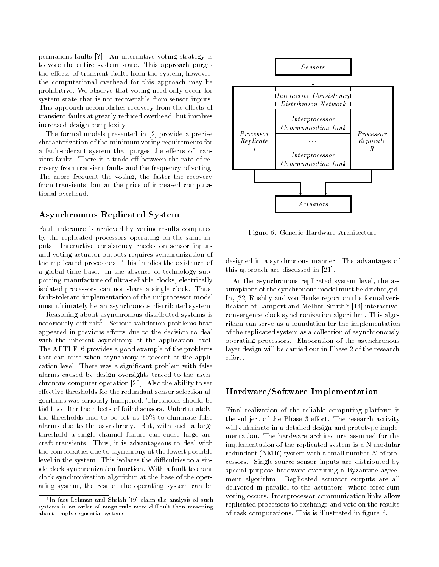permanent faults [?]. An alternative voting strategy is to vote the entire system state. This approach purges the effects of transient faults from the system; however, the computational overhead for this approach may be prohibitive. We observe that voting need only occur for system state that is not recoverable from sensor inputs. This approach accomplishes recovery from the effects of transient faults at greatly reduced overhead, but involves increased design complexity.

The formal models presented in [2] provide a precise characterization of the minimum voting requirements for a fault-tolerant system that purges the effects of transient faults. There is a trade-off between the rate of recovery from transient faults and the frequency of voting. The more frequent the voting, the faster the recovery from transients, but at the price of increased computational overhead.

#### Asynchronous Replicated System

Fault tolerance is achieved by voting results computed by the replicated processors operating on the same inputs. Interactive consistency checks on sensor inputs and voting actuator outputs requires synchronization of the replicated processors. This implies the existence of a global time base. In the absence of technology supporting manufacture of ultra-reliable clocks, electrically isolated processors can not share a single clock. Thus, fault-tolerant implementation of the uniprocessor model must ultimately be an asynchronous distributed system.

Reasoning about asynchronous distributed systems is notoriously difficult: Serious validation problems have appeared in previous efforts due to the decision to deal with the inherent asynchrony at the application level. The AFTI F16 provides a good example of the problems that can arise when asynchrony is present at the application level. There was a signicant problem with false alarms caused by design oversights traced to the asynchronous computer operation [20]. Also the ability to set effective thresholds for the redundant sensor selection algorithms was seriously hampered. Thresholds should be tight to filter the effects of failed sensors. Unfortunately, the thresholds had to be set at 15% to eliminate false alarms due to the asynchrony. But, with such a large threshold a single channel failure can cause large aircraft transients. Thus, it is advantageous to deal with the complexities due to asynchrony at the lowest possible level in the system. This isolates the difficulties to a single clock synchronization function. With a fault-tolerant clock synchronization algorithm at the base of the operating system, the rest of the operating system can be



Figure 6: Generic Hardware Architecture

designed in a synchronous manner. The advantages of this approach are discussed in [21].

At the asynchronous replicated system level, the assumptions of the synchronous model must be discharged. In, [22] Rushby and von Henke report on the formal veri fication of Lamport and Melliar-Smith's [14] interactiveconvergence clock synchronization algorithm. This algorithm can serve as a foundation for the implementation of the replicated system as a collection of asynchronously operating processors. Elaboration of the asynchronous layer design will be carried out in Phase 2 of the research effort.

#### Hardware/Software Implementation

Final realization of the reliable computing platform is the subject of the Phase 3 effort. The research activity will culminate in a detailed design and prototype imple mentation. The hardware architecture assumed for the implementation of the replicated system is a N-modular redundant (NMR) system with a small number  $N$  of processors. Single-source sensor inputs are distributed by special purpose hardware executing a Byzantine agree ment algorithm. Replicated actuator outputs are all delivered in parallel to the actuators, where force-sum voting occurs. Interprocessor communication links allow replicated processors to exchange and vote on the results of task computations. This is illustrated in figure 6.

<sup>5</sup> In fact Lehman and Shelah [19] claim the analysis of such systems is an order of magnitude more difficult than reasoning about simply sequential systems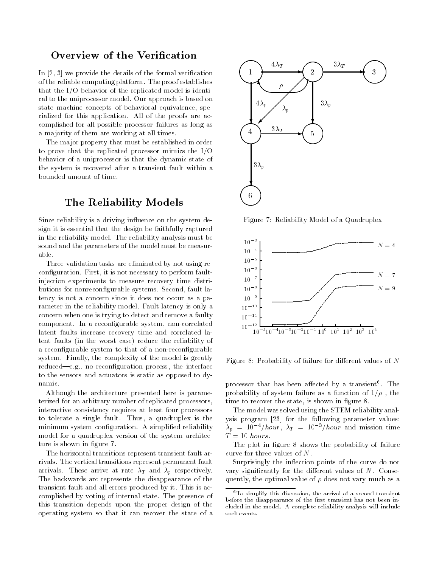### Overview of the Verification

In [2, 3] we provide the details of the formal verification of the reliable computing platform. The proof establishes that the I/O behavior of the replicated model is identical to the uniprocessor model. Our approach is based on state machine concepts of behavioral equivalence, specialized for this application. All of the proofs are accomplished for all possible processor failures as long as a majority of them are working at all times.

The major property that must be established in order to prove that the replicated processor mimics the I/O behavior of a uniprocessor is that the dynamic state of the system is recovered after a transient fault within a bounded amount of time.

# The Reliability Models

Since reliability is a driving influence on the system design it is essential that the design be faithfully captured in the reliability model. The reliability analysis must be sound and the parameters of the model must be measurable.

Three validation tasks are eliminated by not using reconfiguration. First, it is not necessary to perform faultinjection experiments to measure recovery time distributions for nonrecongurable systems. Second, fault latency is not a concern since it does not occur as a parameter in the reliability model. Fault latency is only a concern when one is trying to detect and remove a faulty component. In a recongurable system, non-correlated latent faults increase recovery time and correlated latent faults (in the worst case) reduce the reliability of a reconfigurable system to that of a non-reconfigurable system. Finally, the complexity of the model is greatly reduced—e.g., no reconfiguration process, the interface to the sensors and actuators is static as opposed to dynamic.

Although the architecture presented here is parameterized for an arbitrary number of replicated processors, interactive consistency requires at least four processors to tolerate a single fault. Thus, a quadruplex is the minimum system configuration. A simplified reliability model for a quadruplex version of the system architecture is shown in figure 7.

The horizontal transitions represent transient fault arrivals. The vertical transitions represent permanent fault arrivals. These arrive at rate  $\lambda_T$  and  $\lambda_p$  respectively. The backwards arc represents the disappearance of the transient fault and all errors produced by it. This is accomplished by voting of internal state. The presence of this transition depends upon the proper design of the operating system so that it can recover the state of a



Figure 7: Reliability Model of a Quadruplex



Figure 8: Probability of failure for different values of  $N$ 

processor that has been affected by a transient . The probability of system failure as a function of  $1/\rho$ , the time to recover the state, is shown in figure 8.

The model was solved using the STEM reliability analysis program [23] for the following parameter values:  $\lambda_p = 10^{-4}/hour$ ,  $\lambda_T = 10^{-3}/hour$  and mission time  $\dot{T} = 10 \; hours.$ 

The plot in figure 8 shows the probability of failure curve for three values of N.

Surprisingly the inflection points of the curve do not vary significantly for the different values of  $N$ . Consequently, the optimal value of  $\rho$  does not vary much as a

<sup>6</sup>To simplify this discussion, the arrival of a second transient before the disappearance of the first transient has not been included in the model. A complete reliability analysis will include such events.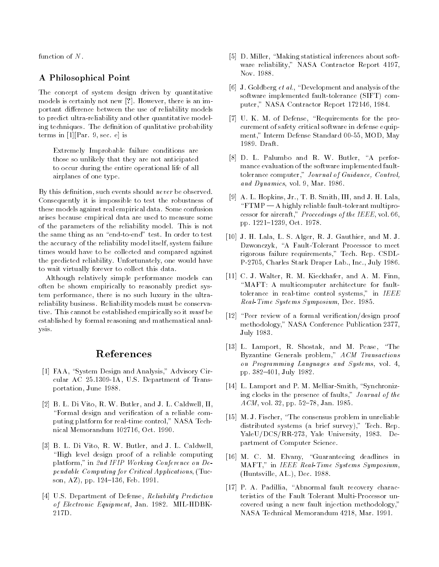function of N.

#### A Philosophical Point

The concept of system design driven by quantitative models is certainly not new [?]. However, there is an important difference between the use of reliability models to predict ultra-reliability and other quantitative modeling techniques. The definition of qualitative probability terms in [1][Par. 9, sec. e] is

Extremely Improbable failure conditions are those so unlikely that they are not anticipated to occur during the entire operational life of all airplanes of one type.

By this definition, such events should *never* be observed. Consequently it is impossible to test the robustness of these models against real empirical data. Some confusion arises because empirical data are used to measure some of the parameters of the reliability model. This is not the same thing as an "end-to-end" test. In order to test the accuracy of the reliability model itself, system failure times would have to be collected and compared against the predicted reliability. Unfortunately, one would have to wait virtually forever to collect this data.

Although relatively simple performance models can often be shown empirically to reasonably predict system performance, there is no such luxury in the ultrareliability business. Reliability models must be conservative. This cannot be established empirically so it must be established by formal reasoning and mathematical analysis.

### References

- [1] FAA, "System Design and Analysis," Advisory Circular AC 25.1309-1A, U.S. Department of Transportation, June 1988.
- [2] B. L. Di Vito, R. W. Butler, and J. L. Caldwell, II, "Formal design and verification of a reliable computing platform for real-time control," NASA Technical Memorandum 102716, Oct. 1990.
- [3] B. L. Di Vito, R. W. Butler, and J. L. Caldwell, "High level design proof of a reliable computing platform," in 2nd IFIP Working Conference on Dependable Computing for Critical Applications, (Tucson, AZ), pp. 124-136, Feb. 1991.
- [4] U.S. Department of Defense, Reliability Prediction of Electronic Equipment, Jan. 1982. MIL-HDBK-217D.
- [5] D. Miller, "Making statistical inferences about software reliability," NASA Contractor Report 4197, Nov. 1988.
- [6] J. Goldberg et al., "Development and analysis of the software implemented fault-tolerance (SIFT) computer," NASA Contractor Report 172146, 1984.
- [7] U. K. M. of Defense, "Requirements for the procurement of safety critical software in defense equip ment," Interm Defense Standard 00-55, MOD, May 1989. Draft.
- [8] D. L. Palumbo and R. W. Butler, "A performance evaluation of the software implemented faulttolerance computer," Journal of Guidance, Control, and Dynamics, vol. 9, Mar. 1986.
- [9] A. L. Hopkins, Jr., T. B. Smith, III, and J. H. Lala,  $\F{TMP - A}$  highly reliable fault-tolerant multiprocessor for aircraft," Proceedings of the IEEE, vol. 66, pp. 1221-1239, Oct. 1978.
- [10] J. H. Lala, L. S. Alger, R. J. Gauthier, and M. J. Dzwonczyk, "A Fault-Tolerant Processor to meet rigorous failure requirements," Tech. Rep. CSDL-P-2705, Charles Stark Draper Lab., Inc., July 1986.
- [11] C. J. Walter, R. M. Kieckhafer, and A. M. Finn, "MAFT: A multicomputer architecture for faulttolerance in real-time control systems," in IEEE Real-Time Systems Symposium, Dec. 1985.
- [12] "Peer review of a formal verification/design proof methodology," NASA Conference Publication 2377, July 1983.
- [13] L. Lamport, R. Shostak, and M. Pease, "The Byzantine Generals problem," ACM Transactions on Programming Languages and Systems, vol. 4, pp. 382-401, July 1982.
- [14] L. Lamport and P. M. Melliar-Smith, "Synchronizing clocks in the presence of faults," Journal of the  $ACM$ , vol. 32, pp. 52-78, Jan. 1985.
- [15] M. J. Fischer, "The consensus problem in unreliable distributed systems (a brief survey)," Tech. Rep. YaleU/DCS/RR-273, Yale University, 1983. Department of Computer Science.
- [16] M. C. M. Elvany, "Guaranteeing deadlines in MAFT," in IEEE Real-Time Systems Symposium, (Huntsville, AL.), Dec. 1988.
- [17] P. A. Padillia, "Abnormal fault recovery characteristics of the Fault Tolerant Multi-Processor uncovered using a new fault injection methodology," NASA Technical Memorandum 4218, Mar. 1991.